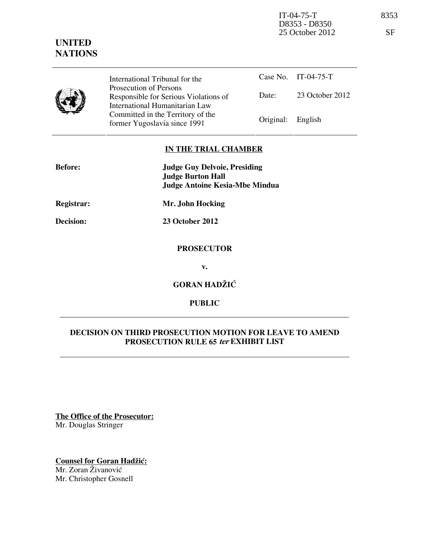IT-04-75-T 8353 D8353 - D8350 25 October 2012 SF

## **UNITED NATIONS**

| J | International Tribunal for the                                                                    |                   | Case No. IT-04-75-T |
|---|---------------------------------------------------------------------------------------------------|-------------------|---------------------|
|   | Prosecution of Persons<br>Responsible for Serious Violations of<br>International Humanitarian Law | Date:             | 23 October 2012     |
|   | Committed in the Territory of the<br>former Yugoslavia since 1991                                 | Original: English |                     |

#### **IN THE TRIAL CHAMBER**

| <b>Before:</b>    | <b>Judge Guy Delvoie, Presiding</b><br><b>Judge Burton Hall</b> |
|-------------------|-----------------------------------------------------------------|
|                   | <b>Judge Antoine Kesia-Mbe Mindua</b>                           |
| <b>Registrar:</b> | Mr. John Hocking                                                |
| Decision:         | 23 October 2012                                                 |
|                   | <b>PROSECUTOR</b>                                               |
|                   | v.                                                              |
|                   | <b>GORAN HADŽIĆ</b>                                             |

**PUBLIC** 

### **DECISION ON THIRD PROSECUTION MOTION FOR LEAVE TO AMEND PROSECUTION RULE 65 ter EXHIBIT LIST**

**The Office of the Prosecutor:** Mr. Douglas Stringer

**Counsel for Goran Hadžić:** Mr. Zoran Živanović Mr. Christopher Gosnell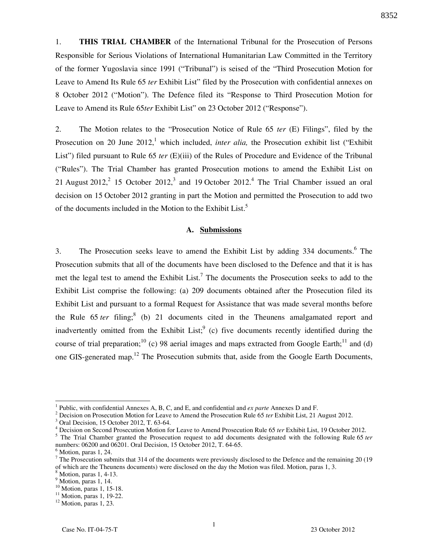1. **THIS TRIAL CHAMBER** of the International Tribunal for the Prosecution of Persons Responsible for Serious Violations of International Humanitarian Law Committed in the Territory of the former Yugoslavia since 1991 ("Tribunal") is seised of the "Third Prosecution Motion for Leave to Amend Its Rule 65 *ter* Exhibit List" filed by the Prosecution with confidential annexes on 8 October 2012 ("Motion"). The Defence filed its "Response to Third Prosecution Motion for Leave to Amend its Rule 65*ter* Exhibit List" on 23 October 2012 ("Response").

2. The Motion relates to the "Prosecution Notice of Rule 65 *ter* (E) Filings", filed by the Prosecution on 20 June 2012,<sup>1</sup> which included, *inter alia*, the Prosecution exhibit list ("Exhibit") List") filed pursuant to Rule 65 *ter* (E)(iii) of the Rules of Procedure and Evidence of the Tribunal ("Rules"). The Trial Chamber has granted Prosecution motions to amend the Exhibit List on 21 August 2012,<sup>2</sup> 15 October 2012,<sup>3</sup> and 19 October 2012.<sup>4</sup> The Trial Chamber issued an oral decision on 15 October 2012 granting in part the Motion and permitted the Prosecution to add two of the documents included in the Motion to the Exhibit List.<sup>5</sup>

#### **A. Submissions**

3. The Prosecution seeks leave to amend the Exhibit List by adding 334 documents.<sup>6</sup> The Prosecution submits that all of the documents have been disclosed to the Defence and that it is has met the legal test to amend the Exhibit List.<sup>7</sup> The documents the Prosecution seeks to add to the Exhibit List comprise the following: (a) 209 documents obtained after the Prosecution filed its Exhibit List and pursuant to a formal Request for Assistance that was made several months before the Rule  $65$  *ter* filing;<sup>8</sup> (b) 21 documents cited in the Theunens amalgamated report and inadvertently omitted from the Exhibit List;  $\int$  (c) five documents recently identified during the course of trial preparation;<sup>10</sup> (c) 98 aerial images and maps extracted from Google Earth;<sup>11</sup> and (d) one GIS-generated map.<sup>12</sup> The Prosecution submits that, aside from the Google Earth Documents,

 $\overline{a}$ 

<sup>1</sup> Public, with confidential Annexes A, B, C, and E, and confidential and *ex parte* Annexes D and F.

<sup>&</sup>lt;sup>2</sup> Decision on Prosecution Motion for Leave to Amend the Prosecution Rule 65 *ter* Exhibit List, 21 August 2012.

<sup>3</sup> Oral Decision, 15 October 2012, T. 63-64.

<sup>4</sup> Decision on Second Prosecution Motion for Leave to Amend Prosecution Rule 65 *ter* Exhibit List, 19 October 2012.

<sup>5</sup> The Trial Chamber granted the Prosecution request to add documents designated with the following Rule 65 *ter* numbers: 06200 and 06201. Oral Decision, 15 October 2012, T. 64-65.

<sup>6</sup> Motion, paras 1, 24.

 $7$  The Prosecution submits that 314 of the documents were previously disclosed to the Defence and the remaining 20 (19) of which are the Theunens documents) were disclosed on the day the Motion was filed. Motion, paras 1, 3.

<sup>8</sup> Motion, paras 1, 4-13.

<sup>&</sup>lt;sup>9</sup> Motion, paras 1, 14.

<sup>&</sup>lt;sup>10</sup> Motion, paras 1, 15-18.

<sup>&</sup>lt;sup>11</sup> Motion, paras 1, 19-22.

 $12$  Motion, paras 1, 23.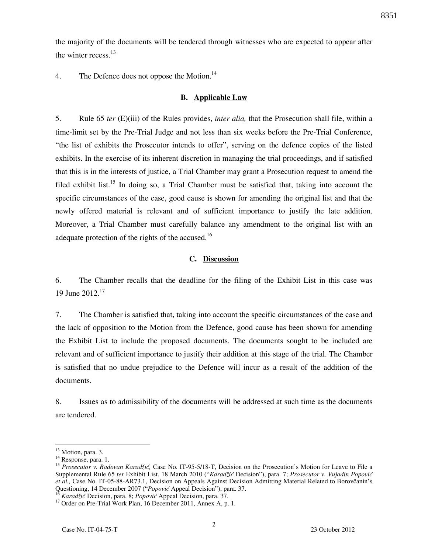the majority of the documents will be tendered through witnesses who are expected to appear after the winter recess.<sup>13</sup>

4. The Defence does not oppose the Motion.<sup>14</sup>

#### **B. Applicable Law**

5. Rule 65 *ter* (E)(iii) of the Rules provides, *inter alia,* that the Prosecution shall file, within a time-limit set by the Pre-Trial Judge and not less than six weeks before the Pre-Trial Conference, "the list of exhibits the Prosecutor intends to offer", serving on the defence copies of the listed exhibits. In the exercise of its inherent discretion in managing the trial proceedings, and if satisfied that this is in the interests of justice, a Trial Chamber may grant a Prosecution request to amend the filed exhibit list.<sup>15</sup> In doing so, a Trial Chamber must be satisfied that, taking into account the specific circumstances of the case, good cause is shown for amending the original list and that the newly offered material is relevant and of sufficient importance to justify the late addition. Moreover, a Trial Chamber must carefully balance any amendment to the original list with an adequate protection of the rights of the accused.<sup>16</sup>

#### **C. Discussion**

6. The Chamber recalls that the deadline for the filing of the Exhibit List in this case was 19 June 2012.<sup>17</sup>

7. The Chamber is satisfied that, taking into account the specific circumstances of the case and the lack of opposition to the Motion from the Defence, good cause has been shown for amending the Exhibit List to include the proposed documents. The documents sought to be included are relevant and of sufficient importance to justify their addition at this stage of the trial. The Chamber is satisfied that no undue prejudice to the Defence will incur as a result of the addition of the documents.

8. Issues as to admissibility of the documents will be addressed at such time as the documents are tendered.

 $\overline{a}$ 

<sup>16</sup> *Karadžić* Decision, para. 8; *Popović* Appeal Decision, para. 37.

 $13$  Motion, para. 3.

<sup>&</sup>lt;sup>14</sup> Response, para. 1.

<sup>&</sup>lt;sup>15</sup> *Prosecutor v. Radovan Karadžić*, Case No. IT-95-5/18-T, Decision on the Prosecution's Motion for Leave to File a Supplemental Rule 65 *ter* Exhibit List, 18 March 2010 ("*Karadžić* Decision"), para. 7; *Prosecutor v. Vujadin Popović et al.,* Case No. IT-05-88-AR73.1, Decision on Appeals Against Decision Admitting Material Related to Borovčanin's Questioning, 14 December 2007 ("*Popović* Appeal Decision"), para. 37.

<sup>&</sup>lt;sup>17</sup> Order on Pre-Trial Work Plan, 16 December 2011, Annex A, p. 1.